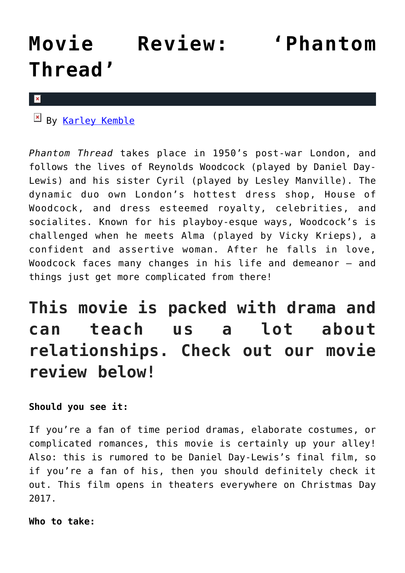# **[Movie Review: 'Phantom](https://cupidspulse.com/121901/movie-review-phantom-thread/) [Thread'](https://cupidspulse.com/121901/movie-review-phantom-thread/)**

 $\pmb{\times}$ 

By [Karley Kemble](http://cupidspulse.com/121255/karley-kemble/)

*Phantom Thread* takes place in 1950's post-war London, and follows the lives of Reynolds Woodcock (played by Daniel Day-Lewis) and his sister Cyril (played by Lesley Manville). The dynamic duo own London's hottest dress shop, House of Woodcock, and dress esteemed royalty, celebrities, and socialites. Known for his playboy-esque ways, Woodcock's is challenged when he meets Alma (played by Vicky Krieps), a confident and assertive woman. After he falls in love, Woodcock faces many changes in his life and demeanor – and things just get more complicated from there!

## **This movie is packed with drama and can teach us a lot about relationships. Check out our movie review below!**

## **Should you see it:**

If you're a fan of time period dramas, elaborate costumes, or complicated romances, this movie is certainly up your alley! Also: this is rumored to be Daniel Day-Lewis's final film, so if you're a fan of his, then you should definitely check it out. This film opens in theaters everywhere on Christmas Day 2017.

**Who to take:**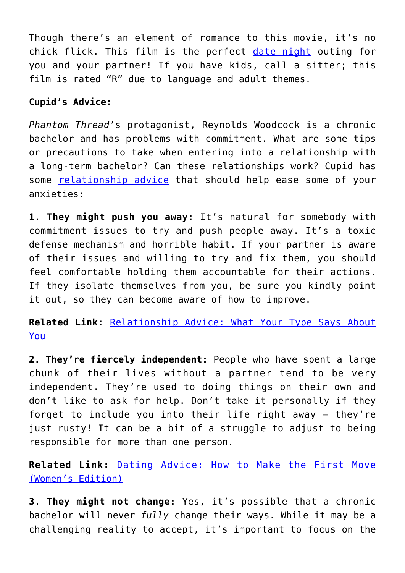Though there's an element of romance to this movie, it's no chick flick. This film is the perfect [date night](http://cupidspulse.com/dating/date-ideas/) outing for you and your partner! If you have kids, call a sitter; this film is rated "R" due to language and adult themes.

### **Cupid's Advice:**

*Phantom Thread*'s protagonist, Reynolds Woodcock is a chronic bachelor and has problems with commitment. What are some tips or precautions to take when entering into a relationship with a long-term bachelor? Can these relationships work? Cupid has some [relationship advice](http://cupidspulse.com/relationship-experts/) that should help ease some of your anxieties:

**1. They might push you away:** It's natural for somebody with commitment issues to try and push people away. It's a toxic defense mechanism and horrible habit. If your partner is aware of their issues and willing to try and fix them, you should feel comfortable holding them accountable for their actions. If they isolate themselves from you, be sure you kindly point it out, so they can become aware of how to improve.

**Related Link:** [Relationship Advice: What Your Type Says About](http://cupidspulse.com/115561/relationship-advice-what-type-says-about-you/) [You](http://cupidspulse.com/115561/relationship-advice-what-type-says-about-you/)

**2. They're fiercely independent:** People who have spent a large chunk of their lives without a partner tend to be very independent. They're used to doing things on their own and don't like to ask for help. Don't take it personally if they forget to include you into their life right away – they're just rusty! It can be a bit of a struggle to adjust to being responsible for more than one person.

**Related Link:** [Dating Advice: How to Make the First Move](http://cupidspulse.com/119903/dating-advice-make-first-move-womens-edition/) [\(Women's Edition\)](http://cupidspulse.com/119903/dating-advice-make-first-move-womens-edition/)

**3. They might not change:** Yes, it's possible that a chronic bachelor will never *fully* change their ways. While it may be a challenging reality to accept, it's important to focus on the